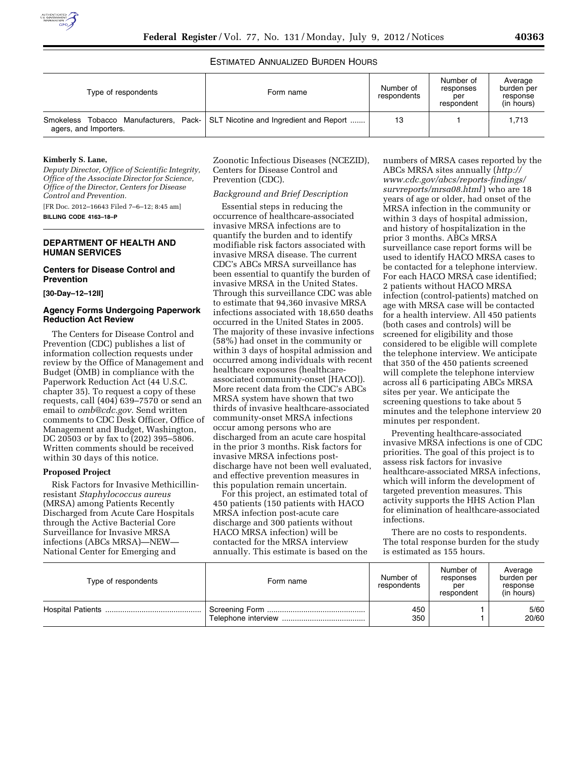# ESTIMATED ANNUALIZED BURDEN HOURS

| Type of respondents                                                      | Form name                              | Number of<br>respondents | Number of<br>responses<br>per<br>respondent | Average<br>burden per<br>response<br>(in hours) |
|--------------------------------------------------------------------------|----------------------------------------|--------------------------|---------------------------------------------|-------------------------------------------------|
| Pack-<br>Manufacturers,<br>Tobacco<br>Smokeless<br>agers, and Importers. | SLT Nicotine and Ingredient and Report | 13                       |                                             | 1,713                                           |

## **Kimberly S. Lane,**

*Deputy Director, Office of Scientific Integrity, Office of the Associate Director for Science, Office of the Director, Centers for Disease Control and Prevention.*  [FR Doc. 2012–16643 Filed 7–6–12; 8:45 am]

**BILLING CODE 4163–18–P** 

## **DEPARTMENT OF HEALTH AND HUMAN SERVICES**

### **Centers for Disease Control and Prevention**

**[30-Day–12–12II]** 

# **Agency Forms Undergoing Paperwork Reduction Act Review**

The Centers for Disease Control and Prevention (CDC) publishes a list of information collection requests under review by the Office of Management and Budget (OMB) in compliance with the Paperwork Reduction Act (44 U.S.C. chapter 35). To request a copy of these requests, call  $(404)$  639–7570 or send an email to *[omb@cdc.gov.](mailto:omb@cdc.gov)* Send written comments to CDC Desk Officer, Office of Management and Budget, Washington, DC 20503 or by fax to (202) 395–5806. Written comments should be received within 30 days of this notice.

### **Proposed Project**

Risk Factors for Invasive Methicillinresistant *Staphylococcus aureus*  (MRSA) among Patients Recently Discharged from Acute Care Hospitals through the Active Bacterial Core Surveillance for Invasive MRSA infections (ABCs MRSA)—NEW— National Center for Emerging and

Zoonotic Infectious Diseases (NCEZID), Centers for Disease Control and Prevention (CDC).

## *Background and Brief Description*

Essential steps in reducing the occurrence of healthcare-associated invasive MRSA infections are to quantify the burden and to identify modifiable risk factors associated with invasive MRSA disease. The current CDC's ABCs MRSA surveillance has been essential to quantify the burden of invasive MRSA in the United States. Through this surveillance CDC was able to estimate that 94,360 invasive MRSA infections associated with 18,650 deaths occurred in the United States in 2005. The majority of these invasive infections (58%) had onset in the community or within 3 days of hospital admission and occurred among individuals with recent healthcare exposures (healthcareassociated community-onset [HACO]). More recent data from the CDC's ABCs MRSA system have shown that two thirds of invasive healthcare-associated community-onset MRSA infections occur among persons who are discharged from an acute care hospital in the prior 3 months. Risk factors for invasive MRSA infections postdischarge have not been well evaluated, and effective prevention measures in this population remain uncertain.

For this project, an estimated total of 450 patients (150 patients with HACO MRSA infection post-acute care discharge and 300 patients without HACO MRSA infection) will be contacted for the MRSA interview annually. This estimate is based on the

numbers of MRSA cases reported by the ABCs MRSA sites annually (*[http://](http://www.cdc.gov/abcs/reports-findings/survreports/mrsa08.html) [www.cdc.gov/abcs/reports-findings/](http://www.cdc.gov/abcs/reports-findings/survreports/mrsa08.html)  [survreports/mrsa08.html](http://www.cdc.gov/abcs/reports-findings/survreports/mrsa08.html)* ) who are 18 years of age or older, had onset of the MRSA infection in the community or within 3 days of hospital admission, and history of hospitalization in the prior 3 months. ABCs MRSA surveillance case report forms will be used to identify HACO MRSA cases to be contacted for a telephone interview. For each HACO MRSA case identified; 2 patients without HACO MRSA infection (control-patients) matched on age with MRSA case will be contacted for a health interview. All 450 patients (both cases and controls) will be screened for eligibility and those considered to be eligible will complete the telephone interview. We anticipate that 350 of the 450 patients screened will complete the telephone interview across all 6 participating ABCs MRSA sites per year. We anticipate the screening questions to take about 5 minutes and the telephone interview 20 minutes per respondent.

Preventing healthcare-associated invasive MRSA infections is one of CDC priorities. The goal of this project is to assess risk factors for invasive healthcare-associated MRSA infections, which will inform the development of targeted prevention measures. This activity supports the HHS Action Plan for elimination of healthcare-associated infections.

There are no costs to respondents. The total response burden for the study is estimated as 155 hours.

| Type of respondents | Form name | Number of<br>respondents | Number of<br>responses<br>per<br>respondent | Average<br>burden per<br>response<br>(in hours) |
|---------------------|-----------|--------------------------|---------------------------------------------|-------------------------------------------------|
|                     |           | 450<br>350               |                                             | 5/60<br>20/60                                   |